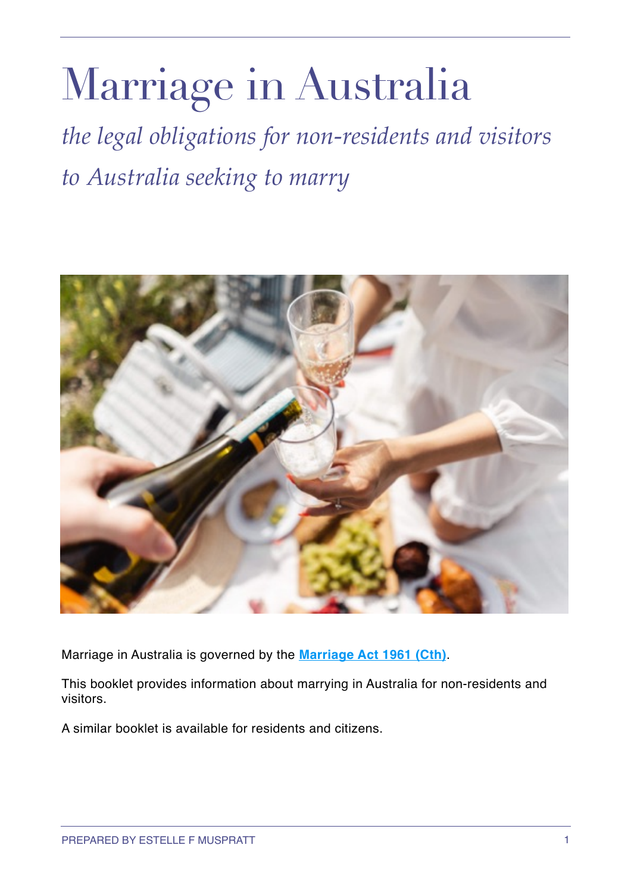# Marriage in Australia

*the legal obligations for non-residents and visitors to Australia seeking to marry*



Marriage in Australia is governed by the **[Marriage Act 1961 \(Cth\)](https://www.legislation.gov.au/Details/C2016C00593%22%20%5Ct%20%22_blank)**.

This booklet provides information about marrying in Australia for non-residents and visitors.

A similar booklet is available for residents and citizens.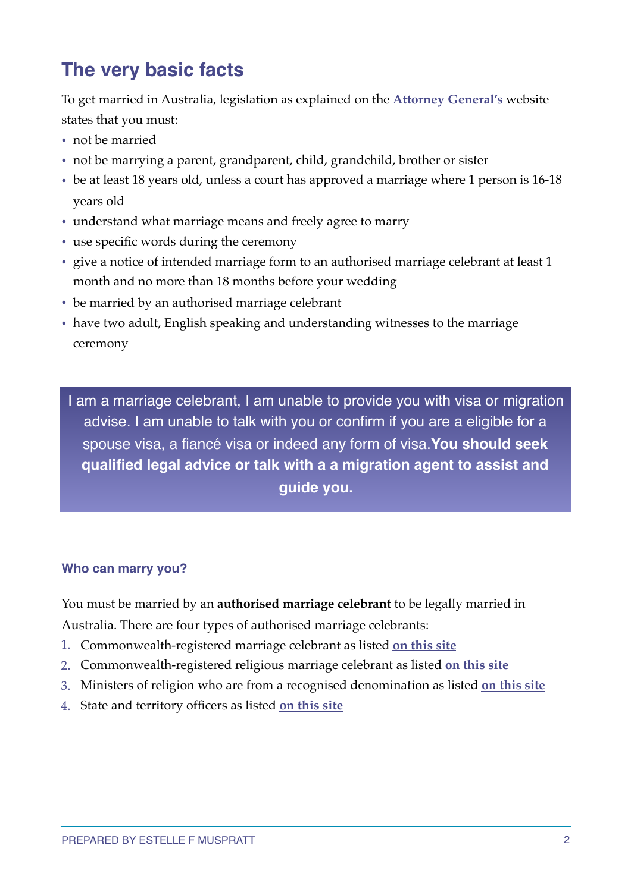# **The very basic facts**

To get married in Australia, legislation as explained on the **[Attorney General's](https://www.ag.gov.au/families-and-marriage/marriage/get-married)** website states that you must:

- not be married
- not be marrying a parent, grandparent, child, grandchild, brother or sister
- be at least 18 years old, unless a court has approved a marriage where 1 person is 16-18 years old
- understand what marriage means and freely agree to marry
- use specific words during the ceremony
- give a notice of intended marriage form to an authorised marriage celebrant at least 1 month and no more than 18 months before your wedding
- be married by an authorised marriage celebrant
- have two adult, English speaking and understanding witnesses to the marriage ceremony

I am a marriage celebrant, I am unable to provide you with visa or migration advise. I am unable to talk with you or confirm if you are a eligible for a spouse visa, a fiancé visa or indeed any form of visa.**You should seek qualified legal advice or talk with a a migration agent to assist and guide you.** 

### **Who can marry you?**

You must be married by an **authorised marriage celebrant** to be legally married in Australia. There are four types of authorised marriage celebrants:

- 1. Commonwealth-registered marriage celebrant as listed **[on this site](https://marriage.ag.gov.au/commonwealthcelebrants/all)**
- 2. Commonwealth-registered religious marriage celebrant as listed **[on this site](https://marriage.ag.gov.au/commonwealthcelebrants/religious)**
- 3. Ministers of religion who are from a recognised denomination as listed **[on this site](https://marriage.ag.gov.au/statecelebrants/other)**
- 4. State and territory officers as listed **[on this site](https://marriage.ag.gov.au/stateofficers/officers)**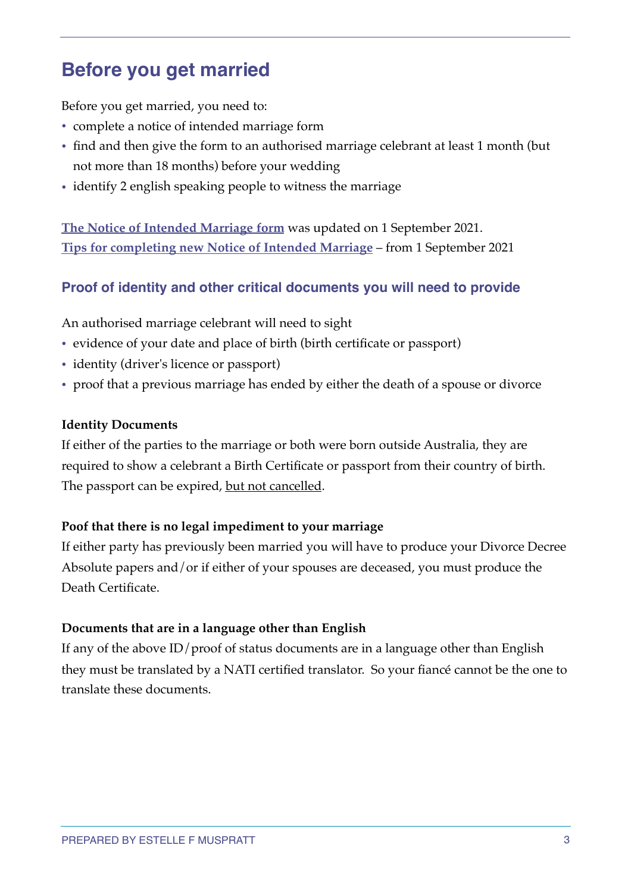# **Before you get married**

Before you get married, you need to:

- complete a notice of intended marriage form
- find and then give the form to an authorised marriage celebrant at least 1 month (but not more than 18 months) before your wedding
- identify 2 english speaking people to witness the marriage

**[The Notice of Intended Marriage form](https://www.ag.gov.au/families-and-marriage/publications/notice-intended-marriage)** was updated on 1 September 2021. **[Tips for completing new Notice of Intended Marriage](https://www.ag.gov.au/families-and-marriage/publications/tips-completing-new-notice-intended-marriage-1-september-2021)** – from 1 September 2021

# **Proof of identity and other critical documents you will need to provide**

An authorised marriage celebrant will need to sight

- evidence of your date and place of birth (birth certificate or passport)
- identity (driver's licence or passport)
- proof that a previous marriage has ended by either the death of a spouse or divorce

#### **Identity Documents**

If either of the parties to the marriage or both were born outside Australia, they are required to show a celebrant a Birth Certificate or passport from their country of birth. The passport can be expired, but not cancelled.

### **Poof that there is no legal impediment to your marriage**

If either party has previously been married you will have to produce your Divorce Decree Absolute papers and/or if either of your spouses are deceased, you must produce the Death Certificate.

### **Documents that are in a language other than English**

If any of the above ID/proof of status documents are in a language other than English they must be translated by a NATI certified translator. So your fiancé cannot be the one to translate these documents.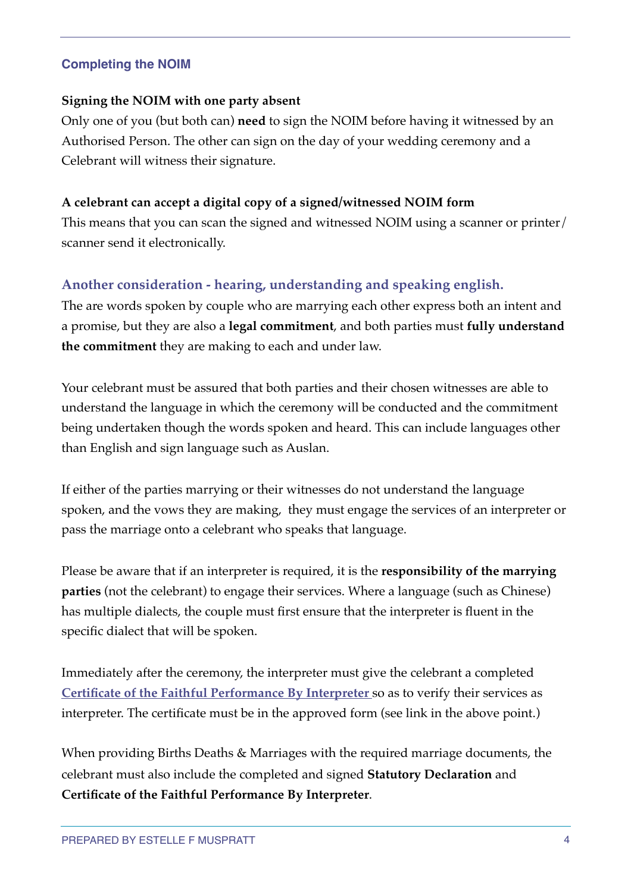# **Completing the NOIM**

## **Signing the NOIM with one party absent**

Only one of you (but both can) **need** to sign the NOIM before having it witnessed by an Authorised Person. The other can sign on the day of your wedding ceremony and a Celebrant will witness their signature.

# **A celebrant can accept a digital copy of a signed/witnessed NOIM form**

This means that you can scan the signed and witnessed NOIM using a scanner or printer/ scanner send it electronically.

# **Another consideration - hearing, understanding and speaking english.**

The are words spoken by couple who are marrying each other express both an intent and a promise, but they are also a **legal commitment**, and both parties must **fully understand the commitment** they are making to each and under law.

Your celebrant must be assured that both parties and their chosen witnesses are able to understand the language in which the ceremony will be conducted and the commitment being undertaken though the words spoken and heard. This can include languages other than English and sign language such as Auslan.

If either of the parties marrying or their witnesses do not understand the language spoken, and the vows they are making, they must engage the services of an interpreter or pass the marriage onto a celebrant who speaks that language.

Please be aware that if an interpreter is required, it is the **responsibility of the marrying parties** (not the celebrant) to engage their services. Where a language (such as Chinese) has multiple dialects, the couple must first ensure that the interpreter is fluent in the specific dialect that will be spoken.

Immediately after the ceremony, the interpreter must give the celebrant a completed **[Certificate of the Faithful Performance By Interpreter](https://www.ag.gov.au/families-and-marriage/publications/certificate-faithful-performance-interpreter)** so as to verify their services as interpreter. The certificate must be in the approved form (see link in the above point.)

When providing Births Deaths & Marriages with the required marriage documents, the celebrant must also include the completed and signed **Statutory Declaration** and **Certificate of the Faithful Performance By Interpreter**.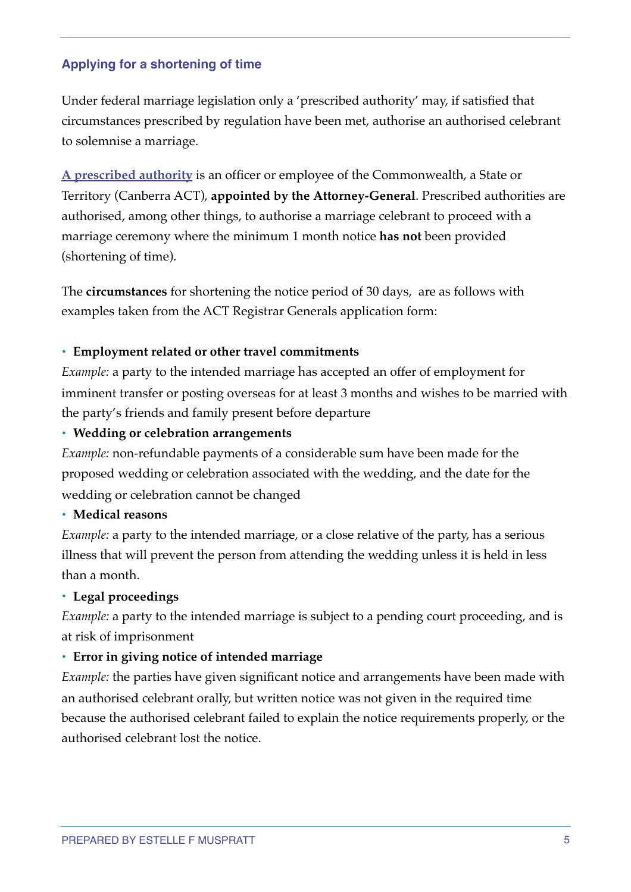# **Applying for a shortening of time**

Under federal marriage legislation only a 'prescribed authority' may, if satisfied that circumstances prescribed by regulation have been met, authorise an authorised celebrant to solemnise a marriage.

**[A prescribed authority](https://marriage.ag.gov.au/stateofficers/authorities)** is an officer or employee of the Commonwealth, a State or Territory (Canberra ACT), **appointed by the Attorney-General**. Prescribed authorities are authorised, among other things, to authorise a marriage celebrant to proceed with a marriage ceremony where the minimum 1 month notice **has not** been provided (shortening of time).

The **circumstances** for shortening the notice period of 30 days, are as follows with examples taken from the ACT Registrar Generals application form:

### **• Employment related or other travel commitments**

*Example:* a party to the intended marriage has accepted an offer of employment for imminent transfer or posting overseas for at least 3 months and wishes to be married with the party's friends and family present before departure

### **• Wedding or celebration arrangements**

*Example:* non-refundable payments of a considerable sum have been made for the proposed wedding or celebration associated with the wedding, and the date for the wedding or celebration cannot be changed

### **• Medical reasons**

*Example:* a party to the intended marriage, or a close relative of the party, has a serious illness that will prevent the person from attending the wedding unless it is held in less than a month.

# **• Legal proceedings**

*Example:* a party to the intended marriage is subject to a pending court proceeding, and is at risk of imprisonment

### **• Error in giving notice of intended marriage**

*Example:* the parties have given significant notice and arrangements have been made with an authorised celebrant orally, but written notice was not given in the required time because the authorised celebrant failed to explain the notice requirements properly, or the authorised celebrant lost the notice.